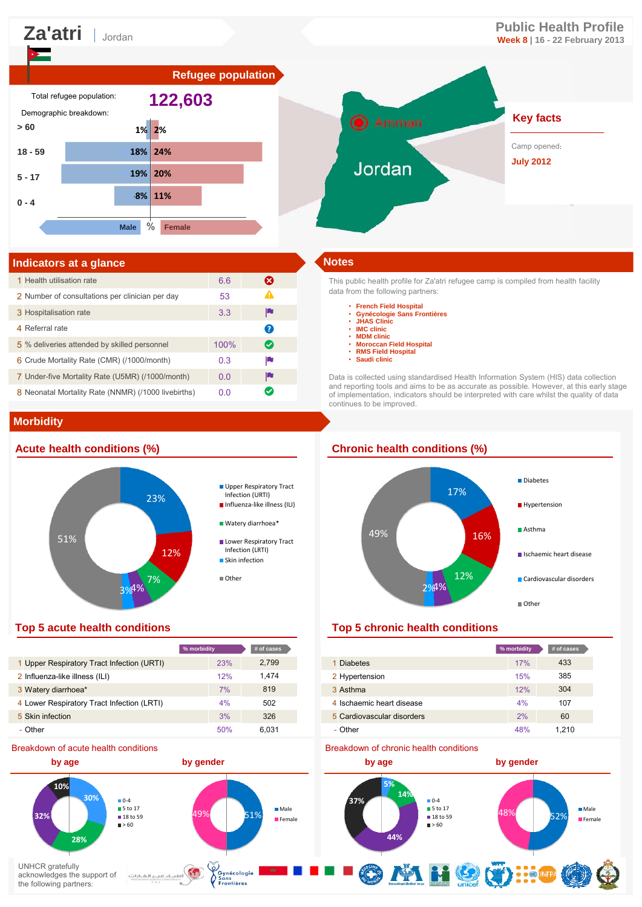# **Za'atri Public Health Profile** Jordan **Week 8 | 16 - 22 February 2013**





# **Indicators at a glance Notes**

| 1 Health utilisation rate                           | 6.6  | ೞ                     |
|-----------------------------------------------------|------|-----------------------|
| 2 Number of consultations per clinician per day     | 53   | Ф                     |
| 3 Hospitalisation rate                              | 3.3  | L                     |
| 4 Referral rate                                     |      | Q                     |
| 5 % deliveries attended by skilled personnel        | 100% | $\boldsymbol{\varpi}$ |
| 6 Crude Mortality Rate (CMR) (/1000/month)          | 0.3  | p                     |
| 7 Under-five Mortality Rate (U5MR) (/1000/month)    | 0.0  | p                     |
| 8 Neonatal Mortality Rate (NNMR) (/1000 livebirths) | 0.0  | ✓                     |

### **Morbidity**

# **Acute health conditions (%) Chronic health conditions (%)**



|                                            | % morbidity | # of cases |
|--------------------------------------------|-------------|------------|
| 1 Upper Respiratory Tract Infection (URTI) | 23%         | 2,799      |
| 2 Influenza-like illness (ILI)             | 12%         | 1,474      |
| 3 Watery diarrhoea*                        | 7%          | 819        |
| 4 Lower Respiratory Tract Infection (LRTI) | 4%          | 502        |
| 5 Skin infection                           | 3%          | 326        |
| - Other                                    | 50%         | 6.031      |

### Breakdown of acute health conditions

This public health profile for Za'atri refugee camp is compiled from health facility data from the following partners:

- **French Field Hospital**
- **Gynécologie Sans Frontières JHAS Clinic**
- 
- **IMC clinic**
- **MDM clinic** • **Moroccan Field Hospital**
- **RMS Field Hospital**
- **Saudi clinic**

Data is collected using standardised Health Information System (HIS) data collection and reporting tools and aims to be as accurate as possible. However, at this early stage of implementation, indicators should be interpreted with care whilst the quality of data continues to be improved.



### **Top 5 acute health conditions Top 5 chronic health conditions**

| % morbidity |     | # of cases |                            | % morbidity | # of cases |
|-------------|-----|------------|----------------------------|-------------|------------|
|             | 23% | 2,799      | 1 Diabetes                 | 17%         | 433        |
|             | 12% | 1,474      | 2 Hypertension             | 15%         | 385        |
|             | 7%  | 819        | 3 Asthma                   | 12%         | 304        |
|             | 4%  | 502        | 4 Ischaemic heart disease  | 4%          | 107        |
|             | 3%  | 326        | 5 Cardiovascular disorders | 2%          | 60         |
|             | 50% | 6.031      | - Other                    | 48%         | 1.210      |

### Breakdown of chronic health conditions